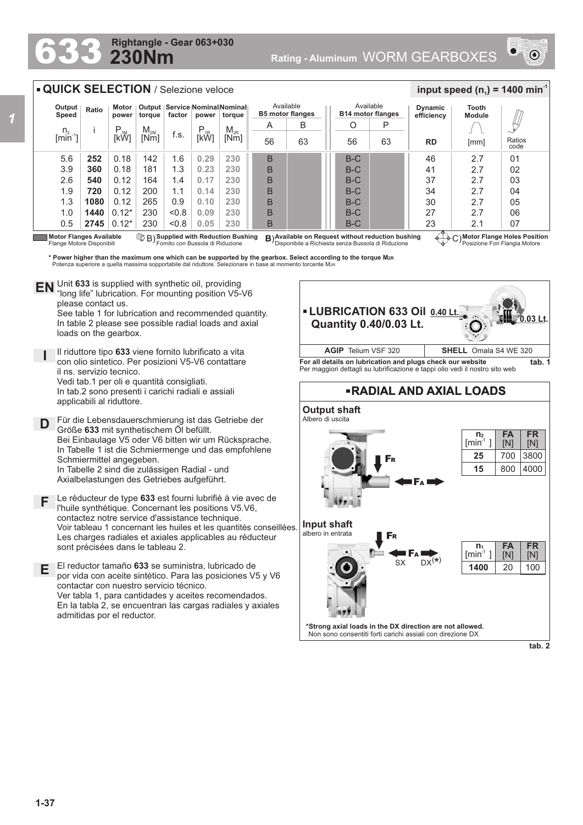## **230Nm Rightangle - Gear 063+030 6333 Rightangle - Gear 063+030**<br>Rating - Aluminum WORM GEARBOXES



| Output                  |                                | <b>QUICK SELECTION / Selezione veloce</b><br>Motor                                                                                                                 |                  |                                                        |                                  | Output   Service Nominal Nominal                                                                                                                                         |                                                                                                                                | Available               | Available                                         |          | <b>Dynamic</b>                                                                                                                             | input speed ( $n_1$ ) = 1400 min <sup>-1</sup><br>Tooth |                                                                              |
|-------------------------|--------------------------------|--------------------------------------------------------------------------------------------------------------------------------------------------------------------|------------------|--------------------------------------------------------|----------------------------------|--------------------------------------------------------------------------------------------------------------------------------------------------------------------------|--------------------------------------------------------------------------------------------------------------------------------|-------------------------|---------------------------------------------------|----------|--------------------------------------------------------------------------------------------------------------------------------------------|---------------------------------------------------------|------------------------------------------------------------------------------|
| Speed                   | Ratio                          | power                                                                                                                                                              |                  | torque factor                                          |                                  | power torque                                                                                                                                                             |                                                                                                                                | <b>B5 motor flanges</b> | <b>B14 motor flanges</b>                          |          | efficiency                                                                                                                                 | <b>Module</b>                                           |                                                                              |
| $n_{2}$<br>$[min^{-1}]$ | J.                             | Ρ<br>[kW]                                                                                                                                                          | $M_{2M}$<br>[Nm] | f.s.                                                   | $\mathsf{P}_{\text{1R}}$<br>[kW] | $M_{2R}$<br>[Nm]                                                                                                                                                         | A<br>56                                                                                                                        | B<br>63                 | O<br>56                                           | Р<br>63  | RD                                                                                                                                         | [mm]                                                    | Ratios                                                                       |
|                         |                                |                                                                                                                                                                    |                  |                                                        |                                  |                                                                                                                                                                          |                                                                                                                                |                         |                                                   |          |                                                                                                                                            |                                                         | code                                                                         |
| 5.6<br>3.9              | 252<br>360                     | 0.18<br>0.18                                                                                                                                                       | 142<br>181       | 1.6<br>1.3                                             | 0.29<br>0.23                     | 230<br>230                                                                                                                                                               | B<br>B                                                                                                                         |                         | $B-C$<br>$B-C$                                    |          | 46<br>41                                                                                                                                   | 2.7<br>2.7                                              | 01<br>02                                                                     |
| 2.6                     | 540                            | 0.12                                                                                                                                                               | 164              | 1.4                                                    | 0.17                             | 230                                                                                                                                                                      | B                                                                                                                              |                         | $B-C$                                             |          | 37                                                                                                                                         | 2.7                                                     | 03                                                                           |
| 1.9                     | 720                            | 0.12                                                                                                                                                               | 200              | 1.1                                                    | 0.14                             | 230                                                                                                                                                                      | B                                                                                                                              |                         | $B-C$                                             |          | 34                                                                                                                                         | 2.7                                                     | 04                                                                           |
| 1.3                     | 1080                           | 0.12                                                                                                                                                               | 265              | 0.9                                                    | 0.10                             | 230                                                                                                                                                                      | B                                                                                                                              |                         | $B-C$                                             |          | 30                                                                                                                                         | 2.7                                                     | 05                                                                           |
| 1.0                     | 1440                           | $0.12*$                                                                                                                                                            | 230              | < 0.8                                                  | 0.09                             | 230                                                                                                                                                                      | B                                                                                                                              |                         | $B-C$                                             |          | 27                                                                                                                                         | 2.7                                                     | 06                                                                           |
| 0.5                     |                                | $2745$ 0.12*                                                                                                                                                       | 230              | < 0.8                                                  | 0.05                             | 230                                                                                                                                                                      | B                                                                                                                              |                         | $B-C$                                             |          | 23                                                                                                                                         | 2.1                                                     | 07                                                                           |
|                         | <b>Motor Flanges Available</b> |                                                                                                                                                                    |                  |                                                        |                                  | <b>B</b> ) Supplied with Reduction Bushing                                                                                                                               |                                                                                                                                |                         | B) Available on Request without reduction bushing |          |                                                                                                                                            | C) Motor Flange Holes Position                          |                                                                              |
| <b>EN</b>               | please contact us.             | loads on the gearbox.                                                                                                                                              |                  |                                                        |                                  | "long life" lubrication. For mounting position V5-V6<br>See table 1 for lubrication and recommended quantity.<br>In table 2 please see possible radial loads and axial   |                                                                                                                                |                         | <b>Quantity 0.40/0.03 Lt.</b>                     |          | <b>- LUBRICATION 633 Oil 0.40 Lt.</b>                                                                                                      |                                                         | $0.03$ Lt                                                                    |
|                         |                                | con olio sintetico. Per posizioni V5-V6 contattare                                                                                                                 |                  | Il riduttore tipo 633 viene fornito lubrificato a vita |                                  |                                                                                                                                                                          |                                                                                                                                |                         | <b>AGIP</b> Telium VSF 320                        |          | For all details on lubrication and plugs check our website<br>Per maggiori dettagli su lubrificazione e tappi olio vedi il nostro sito web | <b>SHELL</b> Omala S4 WE 320                            |                                                                              |
|                         |                                | il ns. servizio tecnico.<br>Vedi tab.1 per oli e quantità consigliati.<br>In tab.2 sono presenti i carichi radiali e assiali<br>applicabili al riduttore.          |                  |                                                        |                                  |                                                                                                                                                                          |                                                                                                                                |                         |                                                   |          | <b>-RADIAL AND AXIAL LOADS</b>                                                                                                             |                                                         |                                                                              |
|                         |                                | Größe 633 mit synthetischem Öl befüllt.<br>Schmiermittel angegeben.<br>In Tabelle 2 sind die zulässigen Radial - und<br>Axialbelastungen des Getriebes aufgeführt. |                  |                                                        |                                  | Für die Lebensdauerschmierung ist das Getriebe der<br>Bei Einbaulage V5 oder V6 bitten wir um Rücksprache.<br>In Tabelle 1 ist die Schmiermenge und das empfohlene       |                                                                                                                                | Albero di uscita        | <b>Output shaft</b>                               | FR       |                                                                                                                                            | n <sub>2</sub><br>$\text{fmin}^1$<br>25<br>15           | tab. 1<br><b>FR</b><br><b>FA</b><br>[N]<br>[N]<br>3800<br>700<br>4000<br>800 |
|                         |                                | contactez notre service d'assistance technique.<br>sont précisées dans le tableau 2.                                                                               |                  |                                                        |                                  | Le réducteur de type 633 est fourni lubrifié à vie avec de<br>l'huile synthétique. Concernant les positions V5.V6,<br>El reductor tamaño 633 se suministra, lubricado de | Voir tableau 1 concernant les huiles et les quantités conseillées.<br>Les charges radiales et axiales applicables au réducteur | albero in entrata       | Input shaft                                       | FR<br>SX | $DX(*)$                                                                                                                                    | $n_1$<br>$\lceil \text{min}^1 \rceil$<br>1400           | <b>FR</b><br><b>FA</b><br>[N]<br>[N]<br>20<br>100                            |
|                         |                                | contactar con nuestro servicio técnico.<br>admitidas por el reductor.                                                                                              |                  |                                                        |                                  | Ver tabla 1, para cantidades y aceites recomendados.                                                                                                                     | por vida con aceite sintético. Para las posiciones V5 y V6<br>En la tabla 2, se encuentran las cargas radiales y axiales       |                         |                                                   |          | *Strong axial loads in the DX direction are not allowed.                                                                                   |                                                         |                                                                              |

*1*